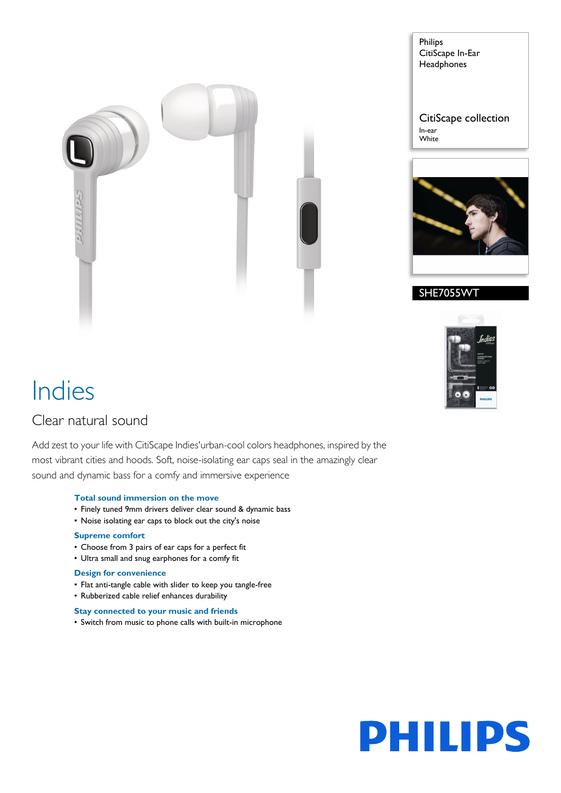

Philips CitiScape In-Ear Headphones

CitiScape collection In-ear White



### SHE7055WT



# Indies

## Clear natural sound

Add zest to your life with CitiScape Indies'urban-cool colors headphones, inspired by the most vibrant cities and hoods. Soft, noise-isolating ear caps seal in the amazingly clear sound and dynamic bass for a comfy and immersive experience

### **Total sound immersion on the move**

- Finely tuned 9mm drivers deliver clear sound & dynamic bass
- Noise isolating ear caps to block out the city's noise

#### **Supreme comfort**

- Choose from 3 pairs of ear caps for a perfect fit
- Ultra small and snug earphones for a comfy fit

### **Design for convenience**

- Flat anti-tangle cable with slider to keep you tangle-free
- Rubberized cable relief enhances durability

#### **Stay connected to your music and friends**

• Switch from music to phone calls with built-in microphone